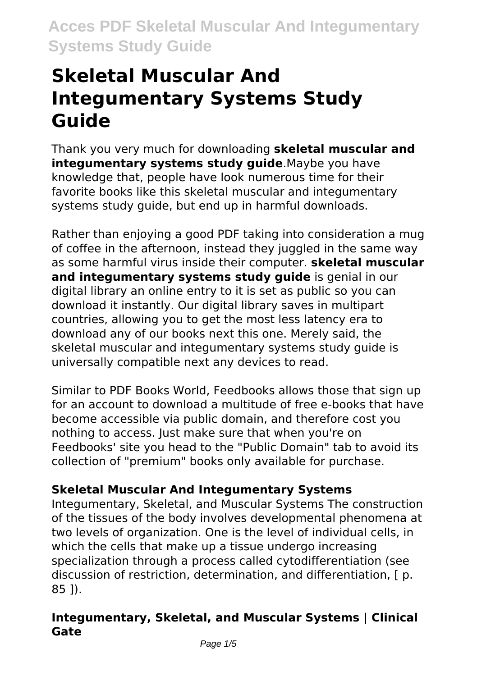# **Skeletal Muscular And Integumentary Systems Study Guide**

Thank you very much for downloading **skeletal muscular and integumentary systems study guide**.Maybe you have knowledge that, people have look numerous time for their favorite books like this skeletal muscular and integumentary systems study guide, but end up in harmful downloads.

Rather than enjoying a good PDF taking into consideration a mug of coffee in the afternoon, instead they juggled in the same way as some harmful virus inside their computer. **skeletal muscular and integumentary systems study guide** is genial in our digital library an online entry to it is set as public so you can download it instantly. Our digital library saves in multipart countries, allowing you to get the most less latency era to download any of our books next this one. Merely said, the skeletal muscular and integumentary systems study guide is universally compatible next any devices to read.

Similar to PDF Books World, Feedbooks allows those that sign up for an account to download a multitude of free e-books that have become accessible via public domain, and therefore cost you nothing to access. Just make sure that when you're on Feedbooks' site you head to the "Public Domain" tab to avoid its collection of "premium" books only available for purchase.

## **Skeletal Muscular And Integumentary Systems**

Integumentary, Skeletal, and Muscular Systems The construction of the tissues of the body involves developmental phenomena at two levels of organization. One is the level of individual cells, in which the cells that make up a tissue undergo increasing specialization through a process called cytodifferentiation (see discussion of restriction, determination, and differentiation, [ p. 85 ]).

### **Integumentary, Skeletal, and Muscular Systems | Clinical Gate**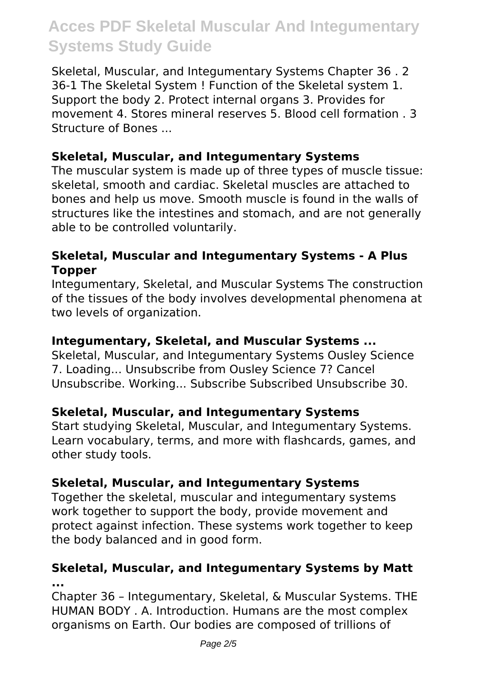Skeletal, Muscular, and Integumentary Systems Chapter 36 . 2 36-1 The Skeletal System ! Function of the Skeletal system 1. Support the body 2. Protect internal organs 3. Provides for movement 4. Stores mineral reserves 5. Blood cell formation . 3 Structure of Bones ...

#### **Skeletal, Muscular, and Integumentary Systems**

The muscular system is made up of three types of muscle tissue: skeletal, smooth and cardiac. Skeletal muscles are attached to bones and help us move. Smooth muscle is found in the walls of structures like the intestines and stomach, and are not generally able to be controlled voluntarily.

#### **Skeletal, Muscular and Integumentary Systems - A Plus Topper**

Integumentary, Skeletal, and Muscular Systems The construction of the tissues of the body involves developmental phenomena at two levels of organization.

#### **Integumentary, Skeletal, and Muscular Systems ...**

Skeletal, Muscular, and Integumentary Systems Ousley Science 7. Loading... Unsubscribe from Ousley Science 7? Cancel Unsubscribe. Working... Subscribe Subscribed Unsubscribe 30.

#### **Skeletal, Muscular, and Integumentary Systems**

Start studying Skeletal, Muscular, and Integumentary Systems. Learn vocabulary, terms, and more with flashcards, games, and other study tools.

#### **Skeletal, Muscular, and Integumentary Systems**

Together the skeletal, muscular and integumentary systems work together to support the body, provide movement and protect against infection. These systems work together to keep the body balanced and in good form.

#### **Skeletal, Muscular, and Integumentary Systems by Matt ...**

Chapter 36 – Integumentary, Skeletal, & Muscular Systems. THE HUMAN BODY . A. Introduction. Humans are the most complex organisms on Earth. Our bodies are composed of trillions of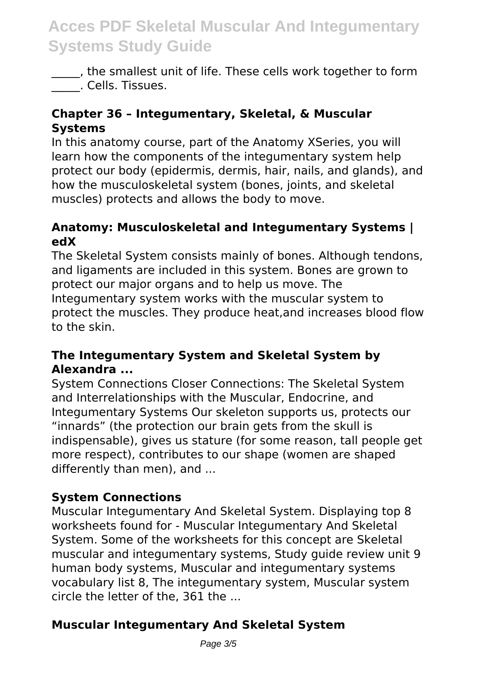\_\_\_\_\_, the smallest unit of life. These cells work together to form \_\_\_\_\_. Cells. Tissues.

#### **Chapter 36 – Integumentary, Skeletal, & Muscular Systems**

In this anatomy course, part of the Anatomy XSeries, you will learn how the components of the integumentary system help protect our body (epidermis, dermis, hair, nails, and glands), and how the musculoskeletal system (bones, joints, and skeletal muscles) protects and allows the body to move.

#### **Anatomy: Musculoskeletal and Integumentary Systems | edX**

The Skeletal System consists mainly of bones. Although tendons, and ligaments are included in this system. Bones are grown to protect our major organs and to help us move. The Integumentary system works with the muscular system to protect the muscles. They produce heat,and increases blood flow to the skin.

#### **The Integumentary System and Skeletal System by Alexandra ...**

System Connections Closer Connections: The Skeletal System and Interrelationships with the Muscular, Endocrine, and Integumentary Systems Our skeleton supports us, protects our "innards" (the protection our brain gets from the skull is indispensable), gives us stature (for some reason, tall people get more respect), contributes to our shape (women are shaped differently than men), and ...

#### **System Connections**

Muscular Integumentary And Skeletal System. Displaying top 8 worksheets found for - Muscular Integumentary And Skeletal System. Some of the worksheets for this concept are Skeletal muscular and integumentary systems, Study guide review unit 9 human body systems, Muscular and integumentary systems vocabulary list 8, The integumentary system, Muscular system circle the letter of the, 361 the ...

### **Muscular Integumentary And Skeletal System**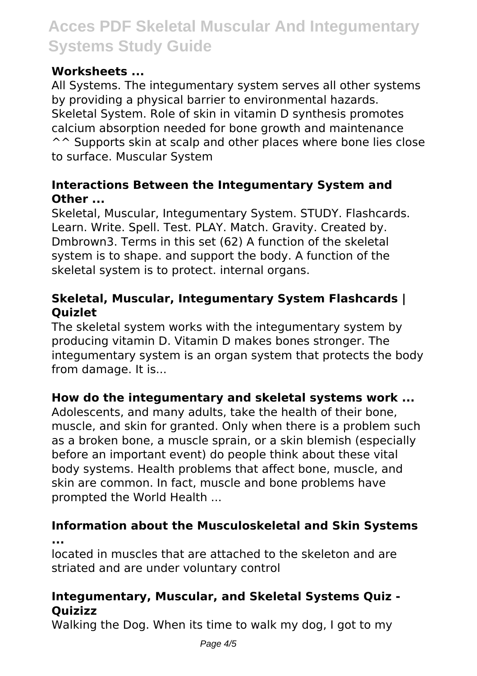### **Worksheets ...**

All Systems. The integumentary system serves all other systems by providing a physical barrier to environmental hazards. Skeletal System. Role of skin in vitamin D synthesis promotes calcium absorption needed for bone growth and maintenance ^^ Supports skin at scalp and other places where bone lies close to surface. Muscular System

#### **Interactions Between the Integumentary System and Other ...**

Skeletal, Muscular, Integumentary System. STUDY. Flashcards. Learn. Write. Spell. Test. PLAY. Match. Gravity. Created by. Dmbrown3. Terms in this set (62) A function of the skeletal system is to shape. and support the body. A function of the skeletal system is to protect. internal organs.

#### **Skeletal, Muscular, Integumentary System Flashcards | Quizlet**

The skeletal system works with the integumentary system by producing vitamin D. Vitamin D makes bones stronger. The integumentary system is an organ system that protects the body from damage. It is...

#### **How do the integumentary and skeletal systems work ...**

Adolescents, and many adults, take the health of their bone, muscle, and skin for granted. Only when there is a problem such as a broken bone, a muscle sprain, or a skin blemish (especially before an important event) do people think about these vital body systems. Health problems that affect bone, muscle, and skin are common. In fact, muscle and bone problems have prompted the World Health ...

#### **Information about the Musculoskeletal and Skin Systems ...**

located in muscles that are attached to the skeleton and are striated and are under voluntary control

### **Integumentary, Muscular, and Skeletal Systems Quiz - Quizizz**

Walking the Dog. When its time to walk my dog, I got to my